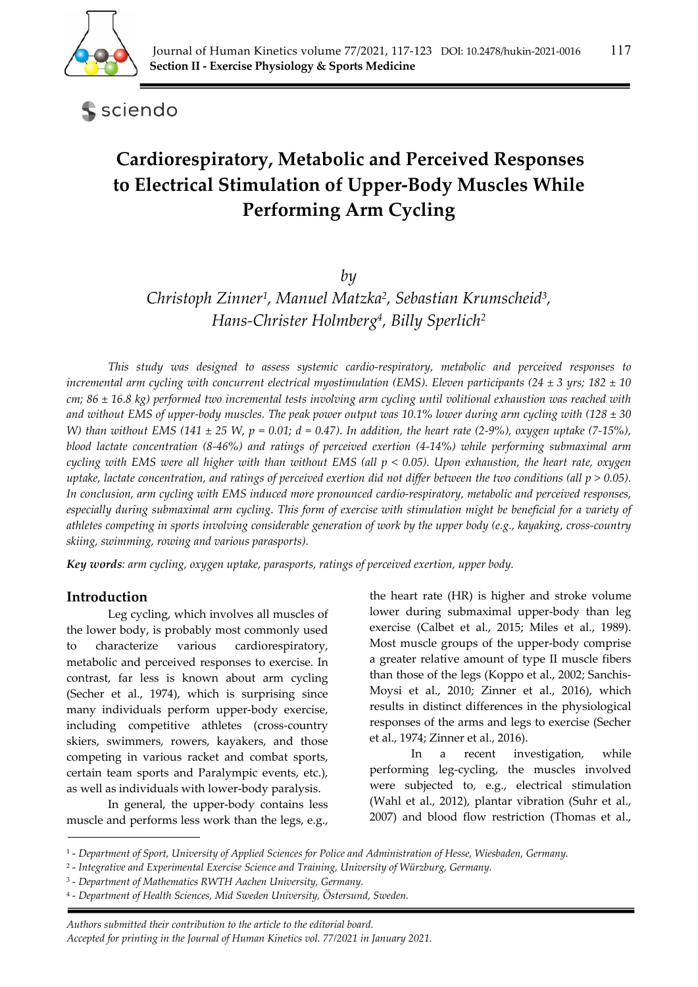

sciendo

# **Cardiorespiratory, Metabolic and Perceived Responses to Electrical Stimulation of Upper‐Body Muscles While Performing Arm Cycling**

*by* 

*Christoph Zinner1, Manuel Matzka2, Sebastian Krumscheid3, Hans-Christer Holmberg4, Billy Sperlich2*

*This study was designed to assess systemic cardio-respiratory, metabolic and perceived responses to incremental arm cycling with concurrent electrical myostimulation (EMS). Eleven participants (24 ± 3 yrs; 182 ± 10 cm; 86 ± 16.8 kg) performed two incremental tests involving arm cycling until volitional exhaustion was reached with and without EMS of upper-body muscles. The peak power output was 10.1% lower during arm cycling with (128 ± 30 W)* than without EMS (141  $\pm$  25 W, p = 0.01; d = 0.47). In addition, the heart rate (2-9%), oxygen uptake (7-15%), *blood lactate concentration (8-46%) and ratings of perceived exertion (4-14%) while performing submaximal arm cycling with EMS were all higher with than without EMS (all p < 0.05). Upon exhaustion, the heart rate, oxygen uptake, lactate concentration, and ratings of perceived exertion did not differ between the two conditions (all p > 0.05). In conclusion, arm cycling with EMS induced more pronounced cardio-respiratory, metabolic and perceived responses, especially during submaximal arm cycling. This form of exercise with stimulation might be beneficial for a variety of athletes competing in sports involving considerable generation of work by the upper body (e.g., kayaking, cross-country skiing, swimming, rowing and various parasports).* 

*Key words: arm cycling, oxygen uptake, parasports, ratings of perceived exertion, upper body.* 

## **Introduction**

Leg cycling, which involves all muscles of the lower body, is probably most commonly used to characterize various cardiorespiratory, metabolic and perceived responses to exercise. In contrast, far less is known about arm cycling (Secher et al., 1974), which is surprising since many individuals perform upper-body exercise, including competitive athletes (cross-country skiers, swimmers, rowers, kayakers, and those competing in various racket and combat sports, certain team sports and Paralympic events, etc.), as well as individuals with lower-body paralysis.

In general, the upper-body contains less muscle and performs less work than the legs, e.g., the heart rate (HR) is higher and stroke volume lower during submaximal upper-body than leg exercise (Calbet et al., 2015; Miles et al., 1989). Most muscle groups of the upper-body comprise a greater relative amount of type II muscle fibers than those of the legs (Koppo et al., 2002; Sanchis-Moysi et al., 2010; Zinner et al., 2016), which results in distinct differences in the physiological responses of the arms and legs to exercise (Secher et al., 1974; Zinner et al., 2016).

In a recent investigation, while performing leg-cycling, the muscles involved were subjected to, e.g., electrical stimulation (Wahl et al., 2012), plantar vibration (Suhr et al., 2007) and blood flow restriction (Thomas et al.,

 *Authors submitted their contribution to the article to the editorial board.* 

*Accepted for printing in the Journal of Human Kinetics vol. 77/2021 in January 2021.* 

<sup>1 -</sup> *Department of Sport, University of Applied Sciences for Police and Administration of Hesse, Wiesbaden, Germany.* 

<sup>2 -</sup> *Integrative and Experimental Exercise Science and Training, University of Würzburg, Germany.* 

<sup>3 -</sup> *Department of Mathematics RWTH Aachen University, Germany.* 

<sup>4 -</sup> *Department of Health Sciences, Mid Sweden University, Östersund, Sweden.*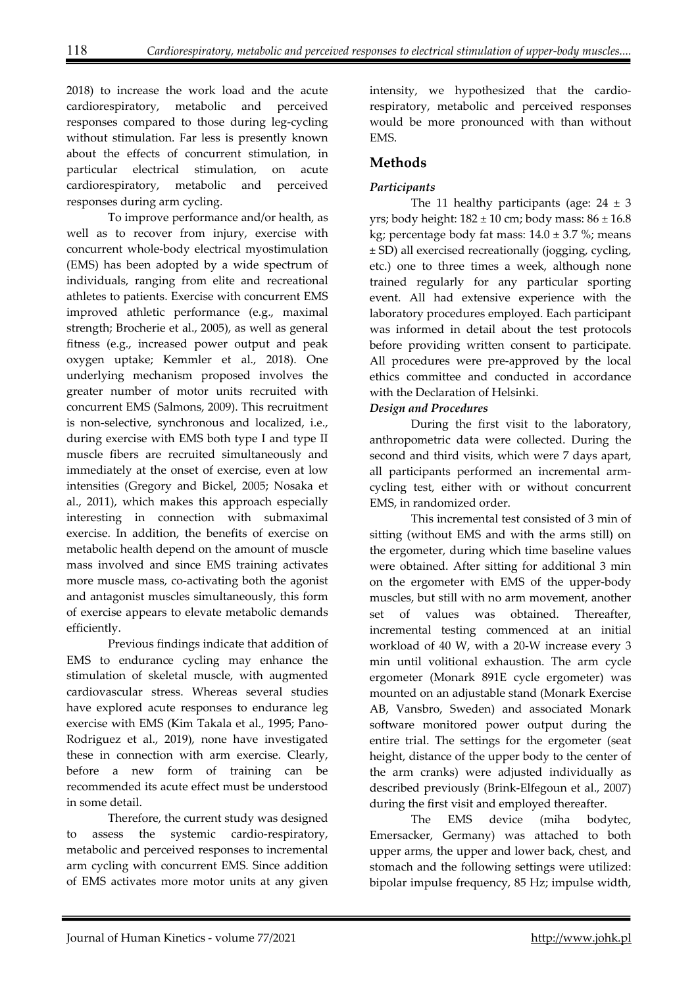2018) to increase the work load and the acute cardiorespiratory, metabolic and perceived responses compared to those during leg-cycling without stimulation. Far less is presently known about the effects of concurrent stimulation, in particular electrical stimulation, on acute cardiorespiratory, metabolic and perceived responses during arm cycling.

To improve performance and/or health, as well as to recover from injury, exercise with concurrent whole-body electrical myostimulation (EMS) has been adopted by a wide spectrum of individuals, ranging from elite and recreational athletes to patients. Exercise with concurrent EMS improved athletic performance (e.g., maximal strength; Brocherie et al., 2005), as well as general fitness (e.g., increased power output and peak oxygen uptake; Kemmler et al., 2018). One underlying mechanism proposed involves the greater number of motor units recruited with concurrent EMS (Salmons, 2009). This recruitment is non-selective, synchronous and localized, i.e., during exercise with EMS both type I and type II muscle fibers are recruited simultaneously and immediately at the onset of exercise, even at low intensities (Gregory and Bickel, 2005; Nosaka et al., 2011), which makes this approach especially interesting in connection with submaximal exercise. In addition, the benefits of exercise on metabolic health depend on the amount of muscle mass involved and since EMS training activates more muscle mass, co-activating both the agonist and antagonist muscles simultaneously, this form of exercise appears to elevate metabolic demands efficiently.

Previous findings indicate that addition of EMS to endurance cycling may enhance the stimulation of skeletal muscle, with augmented cardiovascular stress. Whereas several studies have explored acute responses to endurance leg exercise with EMS (Kim Takala et al., 1995; Pano-Rodriguez et al., 2019), none have investigated these in connection with arm exercise. Clearly, before a new form of training can be recommended its acute effect must be understood in some detail.

Therefore, the current study was designed to assess the systemic cardio-respiratory, metabolic and perceived responses to incremental arm cycling with concurrent EMS. Since addition of EMS activates more motor units at any given

intensity, we hypothesized that the cardiorespiratory, metabolic and perceived responses would be more pronounced with than without EMS.

# **Methods**

## *Participants*

The 11 healthy participants (age:  $24 \pm 3$ yrs; body height:  $182 \pm 10$  cm; body mass:  $86 \pm 16.8$ kg; percentage body fat mass:  $14.0 \pm 3.7$  %; means ± SD) all exercised recreationally (jogging, cycling, etc.) one to three times a week, although none trained regularly for any particular sporting event. All had extensive experience with the laboratory procedures employed. Each participant was informed in detail about the test protocols before providing written consent to participate. All procedures were pre-approved by the local ethics committee and conducted in accordance with the Declaration of Helsinki.

#### *Design and Procedures*

During the first visit to the laboratory, anthropometric data were collected. During the second and third visits, which were 7 days apart, all participants performed an incremental armcycling test, either with or without concurrent EMS, in randomized order.

This incremental test consisted of 3 min of sitting (without EMS and with the arms still) on the ergometer, during which time baseline values were obtained. After sitting for additional 3 min on the ergometer with EMS of the upper-body muscles, but still with no arm movement, another set of values was obtained. Thereafter, incremental testing commenced at an initial workload of 40 W, with a 20-W increase every 3 min until volitional exhaustion. The arm cycle ergometer (Monark 891E cycle ergometer) was mounted on an adjustable stand (Monark Exercise AB, Vansbro, Sweden) and associated Monark software monitored power output during the entire trial. The settings for the ergometer (seat height, distance of the upper body to the center of the arm cranks) were adjusted individually as described previously (Brink-Elfegoun et al., 2007) during the first visit and employed thereafter.

The EMS device (miha bodytec, Emersacker, Germany) was attached to both upper arms, the upper and lower back, chest, and stomach and the following settings were utilized: bipolar impulse frequency, 85 Hz; impulse width,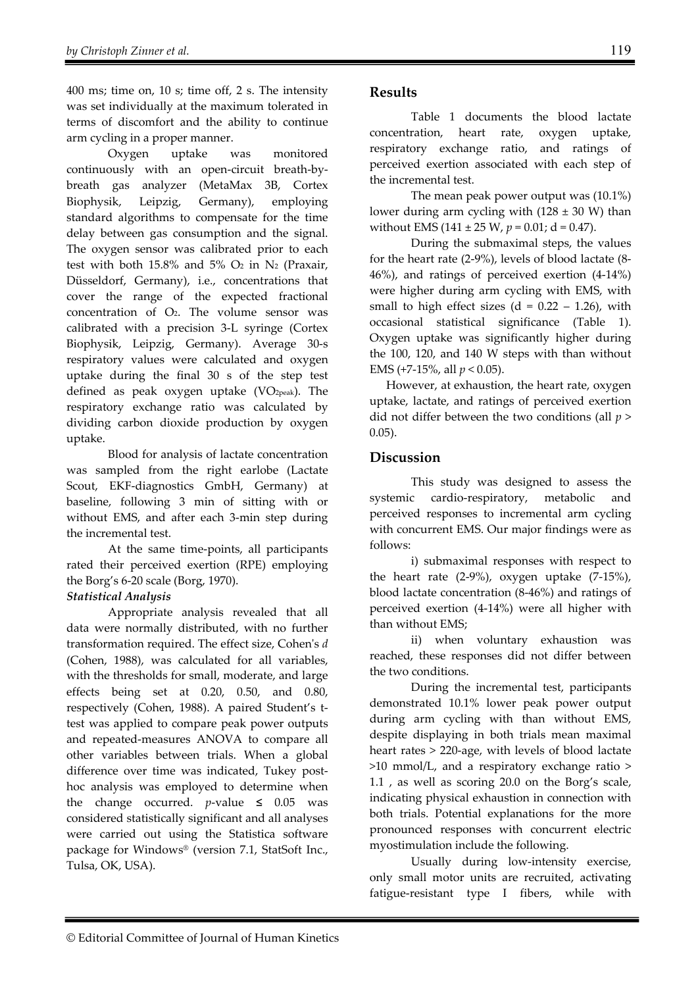400 ms; time on, 10 s; time off, 2 s. The intensity was set individually at the maximum tolerated in terms of discomfort and the ability to continue arm cycling in a proper manner.

Oxygen uptake was monitored continuously with an open-circuit breath-bybreath gas analyzer (MetaMax 3B, Cortex Biophysik, Leipzig, Germany), employing standard algorithms to compensate for the time delay between gas consumption and the signal. The oxygen sensor was calibrated prior to each test with both 15.8% and 5%  $O_2$  in  $N_2$  (Praxair, Düsseldorf, Germany), i.e., concentrations that cover the range of the expected fractional concentration of O2. The volume sensor was calibrated with a precision 3-L syringe (Cortex Biophysik, Leipzig, Germany). Average 30-s respiratory values were calculated and oxygen uptake during the final 30 s of the step test defined as peak oxygen uptake (VO<sub>2peak</sub>). The respiratory exchange ratio was calculated by dividing carbon dioxide production by oxygen uptake.

Blood for analysis of lactate concentration was sampled from the right earlobe (Lactate Scout, EKF-diagnostics GmbH, Germany) at baseline, following 3 min of sitting with or without EMS, and after each 3-min step during the incremental test.

At the same time-points, all participants rated their perceived exertion (RPE) employing the Borg's 6-20 scale (Borg, 1970).

## *Statistical Analysis*

Appropriate analysis revealed that all data were normally distributed, with no further transformation required. The effect size, Cohen's *d* (Cohen, 1988), was calculated for all variables, with the thresholds for small, moderate, and large effects being set at 0.20, 0.50, and 0.80, respectively (Cohen, 1988). A paired Student's ttest was applied to compare peak power outputs and repeated-measures ANOVA to compare all other variables between trials. When a global difference over time was indicated, Tukey posthoc analysis was employed to determine when the change occurred. *p*-value  $\leq$  0.05 was considered statistically significant and all analyses were carried out using the Statistica software package for Windows® (version 7.1, StatSoft Inc., Tulsa, OK, USA).

# **Results**

Table 1 documents the blood lactate concentration, heart rate, oxygen uptake, respiratory exchange ratio, and ratings of perceived exertion associated with each step of the incremental test.

The mean peak power output was (10.1%) lower during arm cycling with  $(128 \pm 30 \text{ W})$  than without EMS (141 ± 25 W,  $p = 0.01$ ; d = 0.47).

During the submaximal steps, the values for the heart rate (2-9%), levels of blood lactate (8- 46%), and ratings of perceived exertion (4-14%) were higher during arm cycling with EMS, with small to high effect sizes  $(d = 0.22 - 1.26)$ , with occasional statistical significance (Table 1). Oxygen uptake was significantly higher during the 100, 120, and 140 W steps with than without EMS (+7-15%, all *p* < 0.05).

However, at exhaustion, the heart rate, oxygen uptake, lactate, and ratings of perceived exertion did not differ between the two conditions (all *p* > 0.05).

## **Discussion**

This study was designed to assess the systemic cardio-respiratory, metabolic and perceived responses to incremental arm cycling with concurrent EMS. Our major findings were as follows:

i) submaximal responses with respect to the heart rate (2-9%), oxygen uptake (7-15%), blood lactate concentration (8-46%) and ratings of perceived exertion (4-14%) were all higher with than without EMS;

ii) when voluntary exhaustion was reached, these responses did not differ between the two conditions.

During the incremental test, participants demonstrated 10.1% lower peak power output during arm cycling with than without EMS, despite displaying in both trials mean maximal heart rates > 220-age, with levels of blood lactate >10 mmol/L, and a respiratory exchange ratio > 1.1 , as well as scoring 20.0 on the Borg's scale, indicating physical exhaustion in connection with both trials. Potential explanations for the more pronounced responses with concurrent electric myostimulation include the following.

Usually during low-intensity exercise, only small motor units are recruited, activating fatigue-resistant type I fibers, while with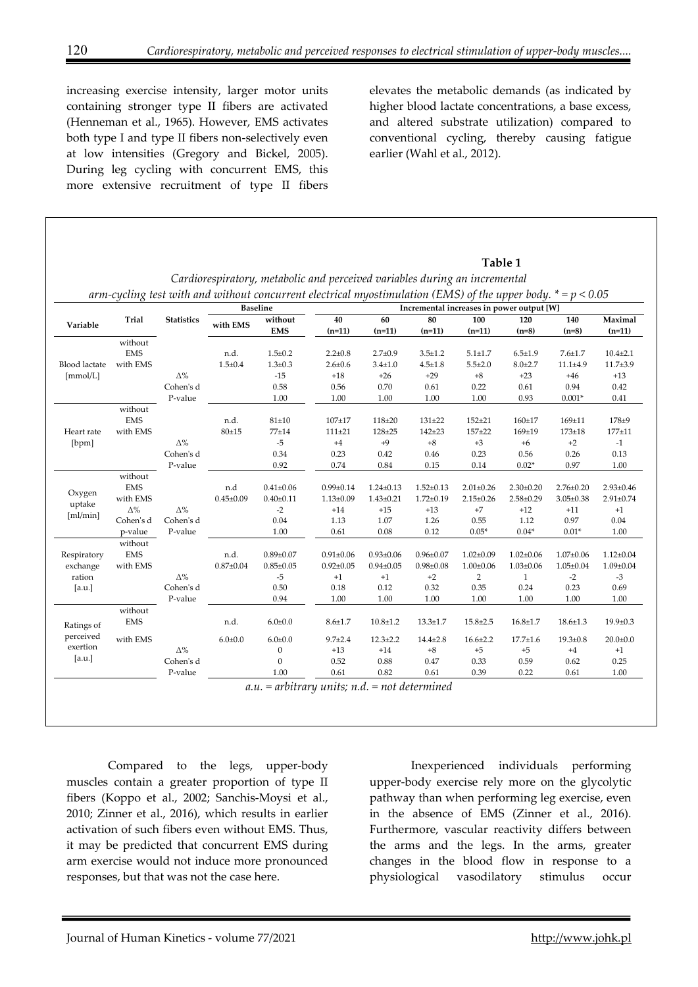increasing exercise intensity, larger motor units containing stronger type II fibers are activated (Henneman et al., 1965). However, EMS activates both type I and type II fibers non-selectively even at low intensities (Gregory and Bickel, 2005). During leg cycling with concurrent EMS, this more extensive recruitment of type II fibers

elevates the metabolic demands (as indicated by higher blood lactate concentrations, a base excess, and altered substrate utilization) compared to conventional cycling, thereby causing fatigue earlier (Wahl et al., 2012).

#### **Table 1**

|                                               |            |                   | <b>Baseline</b> |                         | Incremental increases in power output [W] |                         |                         |                                   |                                 |                         |                         |
|-----------------------------------------------|------------|-------------------|-----------------|-------------------------|-------------------------------------------|-------------------------|-------------------------|-----------------------------------|---------------------------------|-------------------------|-------------------------|
| Variable                                      | Trial      | <b>Statistics</b> | with EMS        | without                 | 40                                        | 60                      | 80                      | 100                               | 120                             | 140                     | Maximal                 |
|                                               |            |                   |                 | <b>EMS</b>              | $(n=11)$                                  | $(n=11)$                | $(n=11)$                | $(n=11)$                          | $(n=8)$                         | $(n=8)$                 | $(n=11)$                |
| <b>Blood</b> lactate<br>[mmol/L]              | without    |                   |                 |                         |                                           |                         |                         |                                   |                                 |                         |                         |
|                                               | <b>EMS</b> |                   | n.d.            | $1.5 \pm 0.2$           | $2.2 \pm 0.8$                             | $2.7 \pm 0.9$           | $3.5 \pm 1.2$           | $5.1 \pm 1.7$                     | $6.5 \pm 1.9$                   | $7.6 \pm 1.7$           | $10.4 \pm 2.1$          |
|                                               | with EMS   |                   | $1.5 \pm 0.4$   | $1.3 + 0.3$             | $2.6 \pm 0.6$                             | $3.4 \pm 1.0$           | $4.5 \pm 1.8$           | $5.5 \pm 2.0$                     | $8.0 + 2.7$                     | $11.1 \pm 4.9$          | $11.7 + 3.9$            |
|                                               |            | $\Delta\%$        |                 | $-15$                   | $+18$                                     | $+26$                   | $+29$                   | $+8$                              | $+23$                           | $+46$                   | $+13$                   |
|                                               |            | Cohen's d         |                 | 0.58                    | 0.56                                      | 0.70                    | 0.61                    | 0.22                              | 0.61                            | 0.94                    | 0.42                    |
|                                               |            | P-value           |                 | 1.00                    | 1.00                                      | 1.00                    | 1.00                    | 1.00                              | 0.93                            | $0.001*$                | 0.41                    |
| Heart rate<br>[bpm]                           | without    |                   |                 |                         |                                           |                         |                         |                                   |                                 |                         |                         |
|                                               | <b>EMS</b> |                   | n.d.            | $81 \pm 10$             | $107 + 17$                                | $118 + 20$              | $131 + 22$              | $152 + 21$                        | $160 + 17$                      | $169 + 11$              | $178 + 9$               |
|                                               | with EMS   |                   | $80 + 15$       | 77±14                   | $111 + 21$                                | $128 + 25$              | $142 + 23$              | 157±22                            | $169 + 19$                      | $173 \pm 18$            | 177±11                  |
|                                               |            | $\Delta\%$        |                 | $-5$                    | $+4$                                      | $+9$                    | $+8$                    | $+3$                              | $+6$                            | $+2$                    | $-1$                    |
|                                               |            | Cohen's d         |                 | 0.34                    | 0.23                                      | 0.42                    | 0.46                    | 0.23                              | 0.56                            | 0.26                    | 0.13                    |
|                                               |            | P-value           |                 | 0.92                    | 0.74                                      | 0.84                    | 0.15                    | 0.14                              | $0.02*$                         | 0.97                    | 1.00                    |
| Oxygen<br>uptake<br>[ml/min]                  | without    |                   |                 |                         |                                           |                         |                         |                                   |                                 |                         |                         |
|                                               | <b>EMS</b> |                   | n.d             | $0.41 \pm 0.06$         | $0.99 \pm 0.14$                           | $1.24 \pm 0.13$         | $1.52 \pm 0.13$         | $2.01 \pm 0.26$                   | $2.30 \pm 0.20$                 | $2.76 \pm 0.20$         | $2.93 \pm 0.46$         |
|                                               | with EMS   |                   | $0.45 \pm 0.09$ | $0.40 \pm 0.11$         | $1.13 \pm 0.09$                           | $1.43 \pm 0.21$         | $1.72 \pm 0.19$         | $2.15 \pm 0.26$                   | $2.58 \pm 0.29$                 | $3.05 \pm 0.38$         | $2.91 \pm 0.74$         |
|                                               | $\Delta\%$ | $\Delta\%$        |                 | $-2$                    | $+14$                                     | $+15$                   | $+13$                   | $+7$                              | $+12$                           | $+11$                   | $+1$                    |
|                                               | Cohen's d  | Cohen's d         |                 | 0.04                    | 1.13                                      | 1.07                    | 1.26                    | 0.55                              | 1.12                            | 0.97                    | 0.04                    |
|                                               | p-value    | P-value           |                 | 1.00                    | 0.61                                      | 0.08                    | 0.12                    | $0.05*$                           | $0.04*$                         | $0.01*$                 | 1.00                    |
| Respiratory<br>exchange<br>ration<br>[a.u.]   | without    |                   |                 |                         |                                           |                         |                         |                                   |                                 |                         |                         |
|                                               | <b>EMS</b> |                   | n.d.            | $0.89 \pm 0.07$         | $0.91 \pm 0.06$                           | $0.93 \pm 0.06$         | $0.96 \pm 0.07$         | $1.02 \pm 0.09$                   | $1.02 \pm 0.06$                 | $1.07 \pm 0.06$         | $1.12 \pm 0.04$         |
|                                               | with EMS   | $\Delta\%$        | $0.87 + 0.04$   | $0.85 \pm 0.05$<br>$-5$ | $0.92 \pm 0.05$<br>$+1$                   | $0.94 \pm 0.05$<br>$+1$ | $0.98 \pm 0.08$<br>$+2$ | $1.00 \pm 0.06$<br>$\overline{2}$ | $1.03 \pm 0.06$<br>$\mathbf{1}$ | $1.05 \pm 0.04$<br>$-2$ | $1.09 \pm 0.04$<br>$-3$ |
|                                               |            | Cohen's d         |                 | 0.50                    | 0.18                                      | 0.12                    | 0.32                    | 0.35                              | 0.24                            | 0.23                    | 0.69                    |
|                                               |            | P-value           |                 | 0.94                    | 1.00                                      | 1.00                    | 1.00                    | 1.00                              | 1.00                            | 1.00                    | 1.00                    |
|                                               | without    |                   |                 |                         |                                           |                         |                         |                                   |                                 |                         |                         |
| Ratings of<br>perceived<br>exertion<br>[a.u.] | <b>EMS</b> |                   | n.d.            | $6.0 + 0.0$             | $8.6 \pm 1.7$                             | $10.8 + 1.2$            | $13.3 \pm 1.7$          | $15.8 \pm 2.5$                    | $16.8 \pm 1.7$                  | $18.6 \pm 1.3$          | $19.9 \pm 0.3$          |
|                                               |            |                   |                 |                         |                                           |                         |                         |                                   |                                 |                         |                         |
|                                               | with EMS   |                   | $6.0 \pm 0.0$   | $6.0 \pm 0.0$           | $9.7 + 2.4$                               | $12.3 \pm 2.2$          | $14.4 \pm 2.8$          | $16.6 \pm 2.2$                    | $17.7 \pm 1.6$                  | $19.3 \pm 0.8$          | $20.0 + 0.0$            |
|                                               |            | $\Delta\%$        |                 | 0                       | $+13$                                     | $+14$                   | $+8$                    | $+5$                              | $+5$                            | $+4$                    | $+1$                    |
|                                               |            | Cohen's d         |                 | $\mathbf{0}$            | 0.52                                      | 0.88                    | 0.47                    | 0.33                              | 0.59                            | 0.62                    | 0.25                    |
|                                               |            | P-value           |                 | 1.00                    | 0.61                                      | 0.82                    | 0.61                    | 0.39                              | 0.22                            | 0.61                    | 1.00                    |

*Cardiorespiratory, metabolic and perceived variables during an incremental* 

Compared to the legs, upper-body muscles contain a greater proportion of type II fibers (Koppo et al., 2002; Sanchis-Moysi et al., 2010; Zinner et al., 2016), which results in earlier activation of such fibers even without EMS. Thus, it may be predicted that concurrent EMS during arm exercise would not induce more pronounced responses, but that was not the case here.

Inexperienced individuals performing upper-body exercise rely more on the glycolytic pathway than when performing leg exercise, even in the absence of EMS (Zinner et al., 2016). Furthermore, vascular reactivity differs between the arms and the legs. In the arms, greater changes in the blood flow in response to a physiological vasodilatory stimulus occur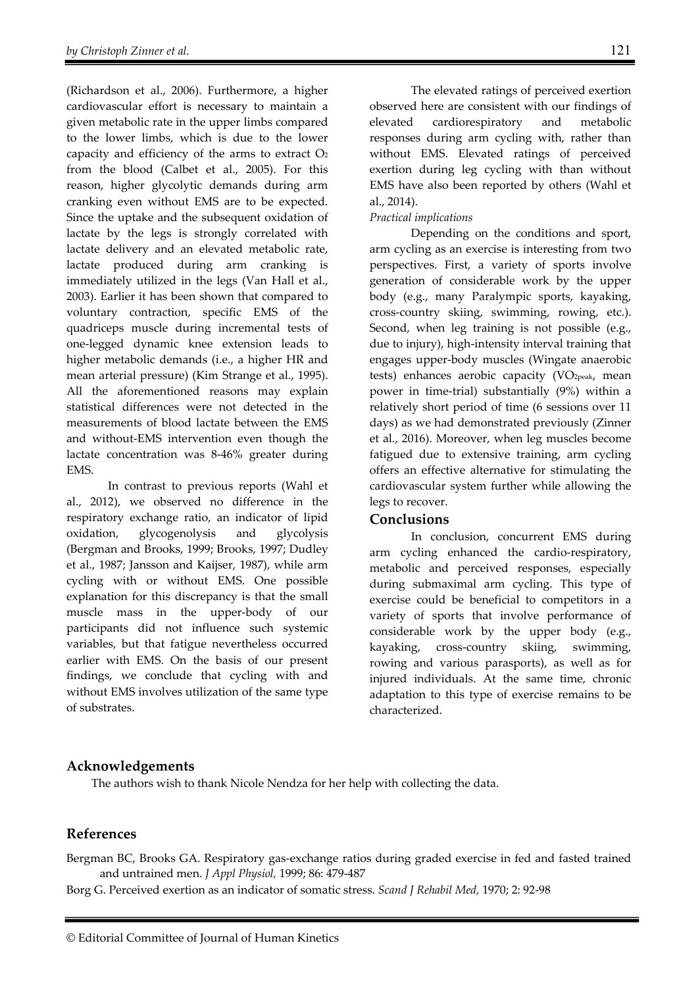(Richardson et al., 2006). Furthermore, a higher cardiovascular effort is necessary to maintain a given metabolic rate in the upper limbs compared to the lower limbs, which is due to the lower capacity and efficiency of the arms to extract O2 from the blood (Calbet et al., 2005). For this reason, higher glycolytic demands during arm cranking even without EMS are to be expected. Since the uptake and the subsequent oxidation of lactate by the legs is strongly correlated with lactate delivery and an elevated metabolic rate, lactate produced during arm cranking is immediately utilized in the legs (Van Hall et al., 2003). Earlier it has been shown that compared to voluntary contraction, specific EMS of the quadriceps muscle during incremental tests of one-legged dynamic knee extension leads to higher metabolic demands (i.e., a higher HR and mean arterial pressure) (Kim Strange et al., 1995). All the aforementioned reasons may explain statistical differences were not detected in the measurements of blood lactate between the EMS and without-EMS intervention even though the lactate concentration was 8-46% greater during EMS.

In contrast to previous reports (Wahl et al., 2012), we observed no difference in the respiratory exchange ratio, an indicator of lipid oxidation, glycogenolysis and glycolysis (Bergman and Brooks, 1999; Brooks, 1997; Dudley et al., 1987; Jansson and Kaijser, 1987), while arm cycling with or without EMS. One possible explanation for this discrepancy is that the small muscle mass in the upper-body of our participants did not influence such systemic variables, but that fatigue nevertheless occurred earlier with EMS. On the basis of our present findings, we conclude that cycling with and without EMS involves utilization of the same type of substrates.

The elevated ratings of perceived exertion observed here are consistent with our findings of elevated cardiorespiratory and metabolic responses during arm cycling with, rather than without EMS. Elevated ratings of perceived exertion during leg cycling with than without EMS have also been reported by others (Wahl et al., 2014).

#### *Practical implications*

Depending on the conditions and sport, arm cycling as an exercise is interesting from two perspectives. First, a variety of sports involve generation of considerable work by the upper body (e.g., many Paralympic sports, kayaking, cross-country skiing, swimming, rowing, etc.). Second, when leg training is not possible (e.g., due to injury), high-intensity interval training that engages upper-body muscles (Wingate anaerobic tests) enhances aerobic capacity (VO<sub>2peak</sub>, mean power in time-trial) substantially (9%) within a relatively short period of time (6 sessions over 11 days) as we had demonstrated previously (Zinner et al., 2016). Moreover, when leg muscles become fatigued due to extensive training, arm cycling offers an effective alternative for stimulating the cardiovascular system further while allowing the legs to recover.

#### **Conclusions**

In conclusion, concurrent EMS during arm cycling enhanced the cardio-respiratory, metabolic and perceived responses, especially during submaximal arm cycling. This type of exercise could be beneficial to competitors in a variety of sports that involve performance of considerable work by the upper body (e.g., kayaking, cross-country skiing, swimming, rowing and various parasports), as well as for injured individuals. At the same time, chronic adaptation to this type of exercise remains to be characterized.

#### **Acknowledgements**

The authors wish to thank Nicole Nendza for her help with collecting the data.

## **References**

Bergman BC, Brooks GA. Respiratory gas-exchange ratios during graded exercise in fed and fasted trained and untrained men. *J Appl Physiol,* 1999; 86: 479-487

Borg G. Perceived exertion as an indicator of somatic stress. *Scand J Rehabil Med,* 1970; 2: 92-98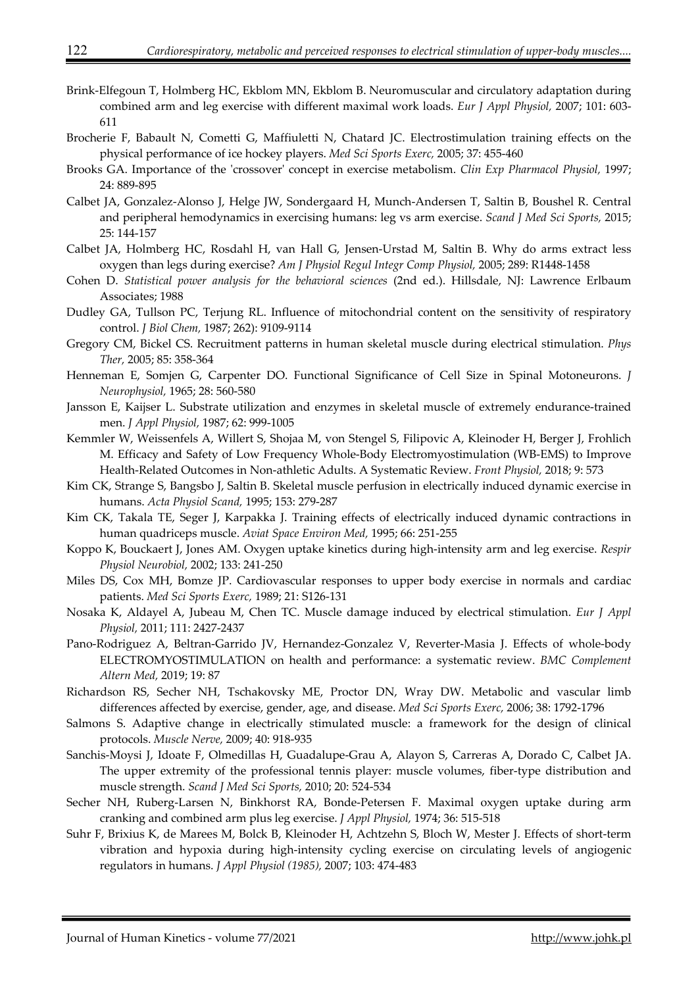- Brink-Elfegoun T, Holmberg HC, Ekblom MN, Ekblom B. Neuromuscular and circulatory adaptation during combined arm and leg exercise with different maximal work loads. *Eur J Appl Physiol,* 2007; 101: 603- 611
- Brocherie F, Babault N, Cometti G, Maffiuletti N, Chatard JC. Electrostimulation training effects on the physical performance of ice hockey players. *Med Sci Sports Exerc,* 2005; 37: 455-460
- Brooks GA. Importance of the 'crossover' concept in exercise metabolism. *Clin Exp Pharmacol Physiol,* 1997; 24: 889-895
- Calbet JA, Gonzalez-Alonso J, Helge JW, Sondergaard H, Munch-Andersen T, Saltin B, Boushel R. Central and peripheral hemodynamics in exercising humans: leg vs arm exercise. *Scand J Med Sci Sports,* 2015; 25: 144-157
- Calbet JA, Holmberg HC, Rosdahl H, van Hall G, Jensen-Urstad M, Saltin B. Why do arms extract less oxygen than legs during exercise? *Am J Physiol Regul Integr Comp Physiol,* 2005; 289: R1448-1458
- Cohen D. *Statistical power analysis for the behavioral sciences* (2nd ed.). Hillsdale, NJ: Lawrence Erlbaum Associates; 1988
- Dudley GA, Tullson PC, Terjung RL. Influence of mitochondrial content on the sensitivity of respiratory control. *J Biol Chem,* 1987; 262): 9109-9114
- Gregory CM, Bickel CS. Recruitment patterns in human skeletal muscle during electrical stimulation. *Phys Ther,* 2005; 85: 358-364
- Henneman E, Somjen G, Carpenter DO. Functional Significance of Cell Size in Spinal Motoneurons. *J Neurophysiol,* 1965; 28: 560-580
- Jansson E, Kaijser L. Substrate utilization and enzymes in skeletal muscle of extremely endurance-trained men. *J Appl Physiol,* 1987; 62: 999-1005
- Kemmler W, Weissenfels A, Willert S, Shojaa M, von Stengel S, Filipovic A, Kleinoder H, Berger J, Frohlich M. Efficacy and Safety of Low Frequency Whole-Body Electromyostimulation (WB-EMS) to Improve Health-Related Outcomes in Non-athletic Adults. A Systematic Review. *Front Physiol,* 2018; 9: 573
- Kim CK, Strange S, Bangsbo J, Saltin B. Skeletal muscle perfusion in electrically induced dynamic exercise in humans. *Acta Physiol Scand,* 1995; 153: 279-287
- Kim CK, Takala TE, Seger J, Karpakka J. Training effects of electrically induced dynamic contractions in human quadriceps muscle. *Aviat Space Environ Med,* 1995; 66: 251-255
- Koppo K, Bouckaert J, Jones AM. Oxygen uptake kinetics during high-intensity arm and leg exercise. *Respir Physiol Neurobiol,* 2002; 133: 241-250
- Miles DS, Cox MH, Bomze JP. Cardiovascular responses to upper body exercise in normals and cardiac patients. *Med Sci Sports Exerc,* 1989; 21: S126-131
- Nosaka K, Aldayel A, Jubeau M, Chen TC. Muscle damage induced by electrical stimulation. *Eur J Appl Physiol,* 2011; 111: 2427-2437
- Pano-Rodriguez A, Beltran-Garrido JV, Hernandez-Gonzalez V, Reverter-Masia J. Effects of whole-body ELECTROMYOSTIMULATION on health and performance: a systematic review. *BMC Complement Altern Med,* 2019; 19: 87
- Richardson RS, Secher NH, Tschakovsky ME, Proctor DN, Wray DW. Metabolic and vascular limb differences affected by exercise, gender, age, and disease. *Med Sci Sports Exerc,* 2006; 38: 1792-1796
- Salmons S. Adaptive change in electrically stimulated muscle: a framework for the design of clinical protocols. *Muscle Nerve,* 2009; 40: 918-935
- Sanchis-Moysi J, Idoate F, Olmedillas H, Guadalupe-Grau A, Alayon S, Carreras A, Dorado C, Calbet JA. The upper extremity of the professional tennis player: muscle volumes, fiber-type distribution and muscle strength. *Scand J Med Sci Sports,* 2010; 20: 524-534
- Secher NH, Ruberg-Larsen N, Binkhorst RA, Bonde-Petersen F. Maximal oxygen uptake during arm cranking and combined arm plus leg exercise. *J Appl Physiol,* 1974; 36: 515-518
- Suhr F, Brixius K, de Marees M, Bolck B, Kleinoder H, Achtzehn S, Bloch W, Mester J. Effects of short-term vibration and hypoxia during high-intensity cycling exercise on circulating levels of angiogenic regulators in humans. *J Appl Physiol (1985),* 2007; 103: 474-483